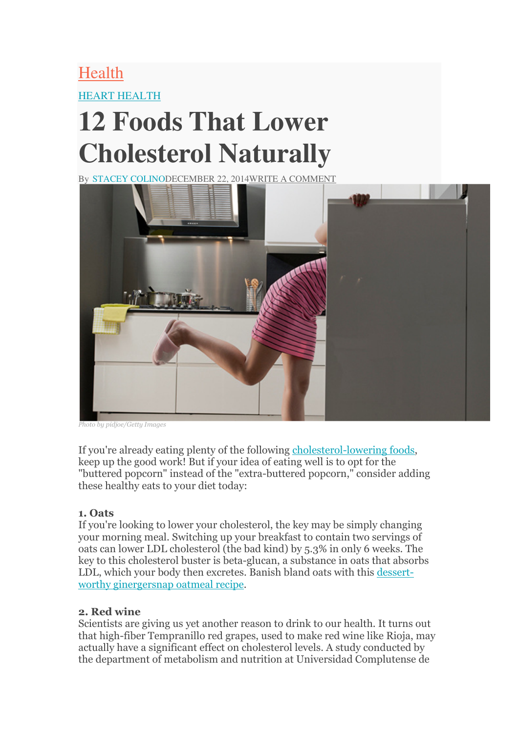# Health HEART HEALTH

# **12 Foods That Lower Cholesterol Naturally**

By STACEY COLINODECEMBER 22, 2014WRITE A COMMENT



Photo by pidjoe/Getty Images

If you're already eating plenty of the following cholesterol-lowering foods, keep up the good work! But if your idea of eating well is to opt for the "buttered popcorn" instead of the "extra-buttered popcorn," consider adding these healthy eats to your diet today:

#### 1. Oats

If you're looking to lower your cholesterol, the key may be simply changing your morning meal. Switching up your breakfast to contain two servings of oats can lower LDL cholesterol (the bad kind) by 5.3% in only 6 weeks. The key to this cholesterol buster is beta-glucan, a substance in oats that absorbs LDL, which your body then excretes. Banish bland oats with this dessertworthy ginergersnap oatmeal recipe.

#### 2. Red wine

Scientists are giving us yet another reason to drink to our health. It turns out that high-fiber Tempranillo red grapes, used to make red wine like Rioja, may actually have a significant effect on cholesterol levels. A study conducted by the department of metabolism and nutrition at Universidad Complutense de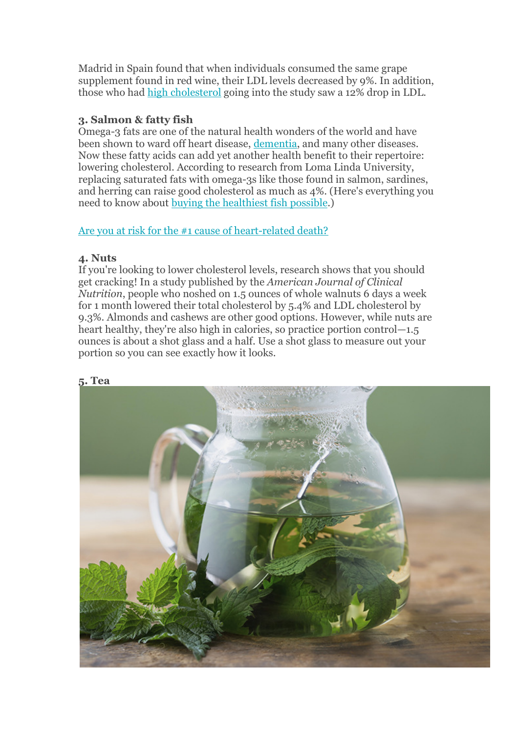Madrid in Spain found that when individuals consumed the same grape supplement found in red wine, their LDL levels decreased by 9%. In addition, those who had high cholesterol going into the study saw a 12% drop in LDL.

#### 3. Salmon & fatty fish

Omega-3 fats are one of the natural health wonders of the world and have been shown to ward off heart disease, dementia, and many other diseases. Now these fatty acids can add yet another health benefit to their repertoire: lowering cholesterol. According to research from Loma Linda University, replacing saturated fats with omega-3s like those found in salmon, sardines, and herring can raise good cholesterol as much as 4%. (Here's everything you need to know about buying the healthiest fish possible.)

## Are you at risk for the #1 cause of heart-related death?

#### 4. Nuts

If you're looking to lower cholesterol levels, research shows that you should get cracking! In a study published by the American Journal of Clinical Nutrition, people who noshed on 1.5 ounces of whole walnuts 6 days a week for 1 month lowered their total cholesterol by 5.4% and LDL cholesterol by 9.3%. Almonds and cashews are other good options. However, while nuts are heart healthy, they're also high in calories, so practice portion control—1.5 ounces is about a shot glass and a half. Use a shot glass to measure out your portion so you can see exactly how it looks.



#### 5. Tea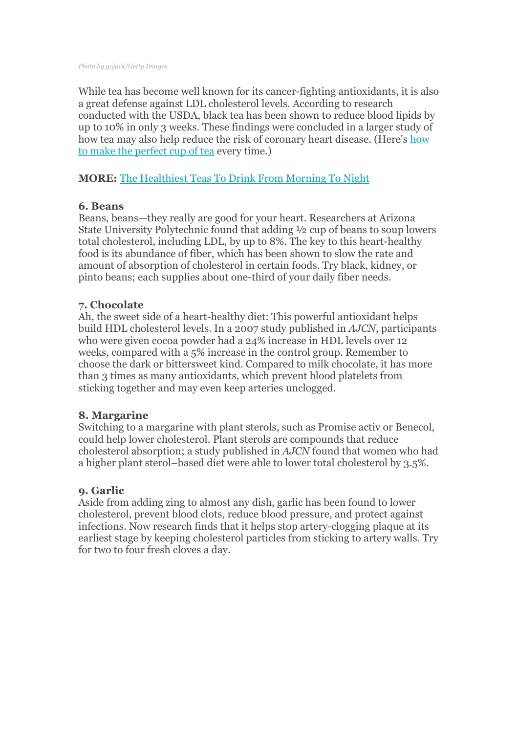While tea has become well known for its cancer-fighting antioxidants, it is also a great defense against LDL cholesterol levels. According to research conducted with the USDA, black tea has been shown to reduce blood lipids by up to 10% in only 3 weeks. These findings were concluded in a larger study of how tea may also help reduce the risk of coronary heart disease. (Here's how to make the perfect cup of tea every time.)

#### MORE: The Healthiest Teas To Drink From Morning To Night

#### 6. Beans

Beans, beans—they really are good for your heart. Researchers at Arizona State University Polytechnic found that adding ½ cup of beans to soup lowers total cholesterol, including LDL, by up to 8%. The key to this heart-healthy food is its abundance of fiber, which has been shown to slow the rate and amount of absorption of cholesterol in certain foods. Try black, kidney, or pinto beans; each supplies about one-third of your daily fiber needs.

#### 7. Chocolate

Ah, the sweet side of a heart-healthy diet: This powerful antioxidant helps build HDL cholesterol levels. In a 2007 study published in AJCN, participants who were given cocoa powder had a 24% increase in HDL levels over 12 weeks, compared with a 5% increase in the control group. Remember to choose the dark or bittersweet kind. Compared to milk chocolate, it has more than 3 times as many antioxidants, which prevent blood platelets from sticking together and may even keep arteries unclogged.

#### 8. Margarine

Switching to a margarine with plant sterols, such as Promise activ or Benecol, could help lower cholesterol. Plant sterols are compounds that reduce cholesterol absorption; a study published in AJCN found that women who had a higher plant sterol–based diet were able to lower total cholesterol by 3.5%.

## 9. Garlic

Aside from adding zing to almost any dish, garlic has been found to lower cholesterol, prevent blood clots, reduce blood pressure, and protect against infections. Now research finds that it helps stop artery-clogging plaque at its earliest stage by keeping cholesterol particles from sticking to artery walls. Try for two to four fresh cloves a day.